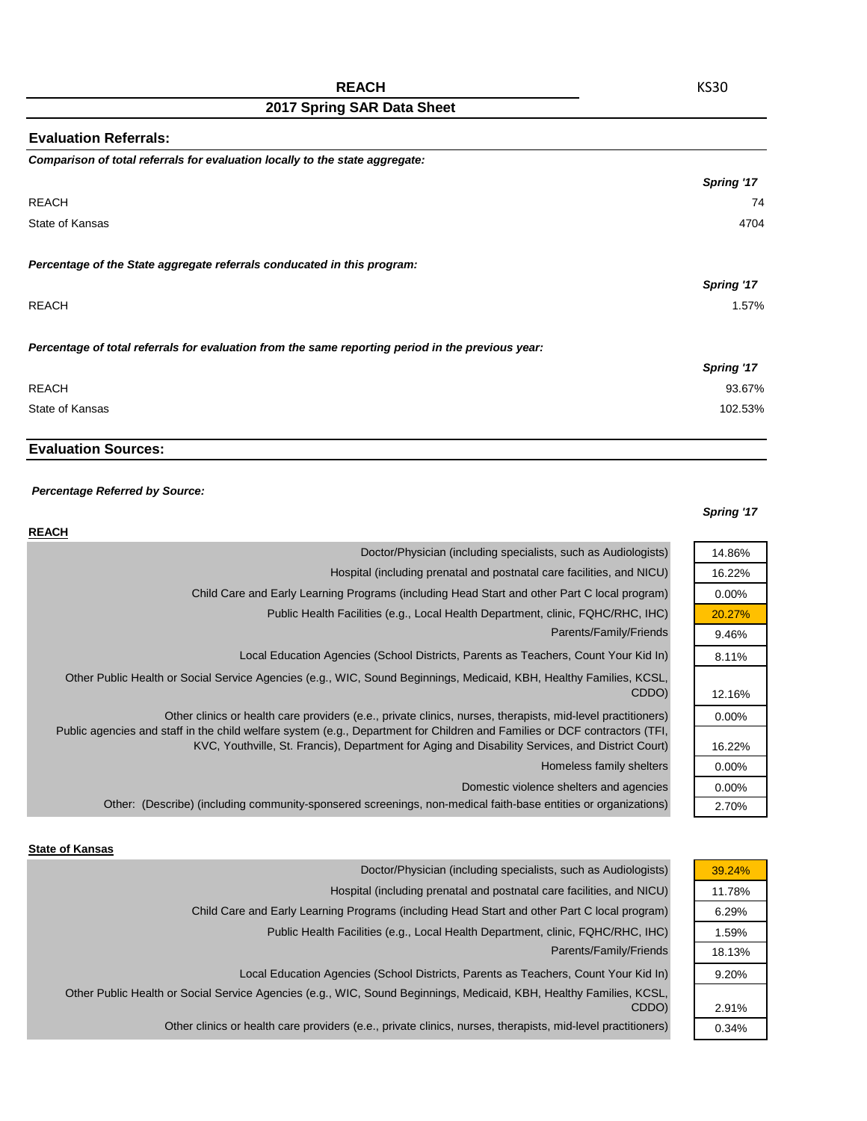| <b>Evaluation Referrals:</b>                                                                      |            |
|---------------------------------------------------------------------------------------------------|------------|
| Comparison of total referrals for evaluation locally to the state aggregate:                      |            |
|                                                                                                   | Spring '17 |
| <b>REACH</b>                                                                                      | 74         |
| State of Kansas                                                                                   | 4704       |
| Percentage of the State aggregate referrals conducated in this program:                           |            |
|                                                                                                   | Spring '17 |
| <b>REACH</b>                                                                                      | 1.57%      |
| Percentage of total referrals for evaluation from the same reporting period in the previous year: |            |
|                                                                                                   | Spring '17 |
| <b>REACH</b>                                                                                      | 93.67%     |
| State of Kansas                                                                                   | 102.53%    |

# **Evaluation Sources:**

### *Percentage Referred by Source:*

### *Spring '17*

| <b>REACH</b>                                                                                                                                                                                                                              |          |
|-------------------------------------------------------------------------------------------------------------------------------------------------------------------------------------------------------------------------------------------|----------|
| Doctor/Physician (including specialists, such as Audiologists)                                                                                                                                                                            | 14.86%   |
| Hospital (including prenatal and postnatal care facilities, and NICU)                                                                                                                                                                     | 16.22%   |
| Child Care and Early Learning Programs (including Head Start and other Part C local program)                                                                                                                                              | $0.00\%$ |
| Public Health Facilities (e.g., Local Health Department, clinic, FQHC/RHC, IHC)                                                                                                                                                           | 20.27%   |
| Parents/Family/Friends                                                                                                                                                                                                                    | 9.46%    |
| Local Education Agencies (School Districts, Parents as Teachers, Count Your Kid In)                                                                                                                                                       | 8.11%    |
| Other Public Health or Social Service Agencies (e.g., WIC, Sound Beginnings, Medicaid, KBH, Healthy Families, KCSL,<br>CDDO)                                                                                                              | 12.16%   |
| Other clinics or health care providers (e.e., private clinics, nurses, therapists, mid-level practitioners)<br>Public agencies and staff in the child welfare system (e.g., Department for Children and Families or DCF contractors (TFI, | $0.00\%$ |
| KVC, Youthville, St. Francis), Department for Aging and Disability Services, and District Court)                                                                                                                                          | 16.22%   |
| Homeless family shelters                                                                                                                                                                                                                  | $0.00\%$ |
| Domestic violence shelters and agencies                                                                                                                                                                                                   | $0.00\%$ |
| Other: (Describe) (including community-sponsered screenings, non-medical faith-base entities or organizations)                                                                                                                            | 2.70%    |

#### **State of Kansas**

| Doctor/Physician (including specialists, such as Audiologists)                                                      | 39.24% |
|---------------------------------------------------------------------------------------------------------------------|--------|
| Hospital (including prenatal and postnatal care facilities, and NICU)                                               | 11.78% |
| Child Care and Early Learning Programs (including Head Start and other Part C local program)                        | 6.29%  |
| Public Health Facilities (e.g., Local Health Department, clinic, FQHC/RHC, IHC)                                     | 1.59%  |
| Parents/Family/Friends                                                                                              | 18.13% |
| Local Education Agencies (School Districts, Parents as Teachers, Count Your Kid In)                                 | 9.20%  |
| Other Public Health or Social Service Agencies (e.g., WIC, Sound Beginnings, Medicaid, KBH, Healthy Families, KCSL, |        |
| CDDO)                                                                                                               | 2.91%  |
| Other clinics or health care providers (e.e., private clinics, nurses, therapists, mid-level practitioners)         | 0.34%  |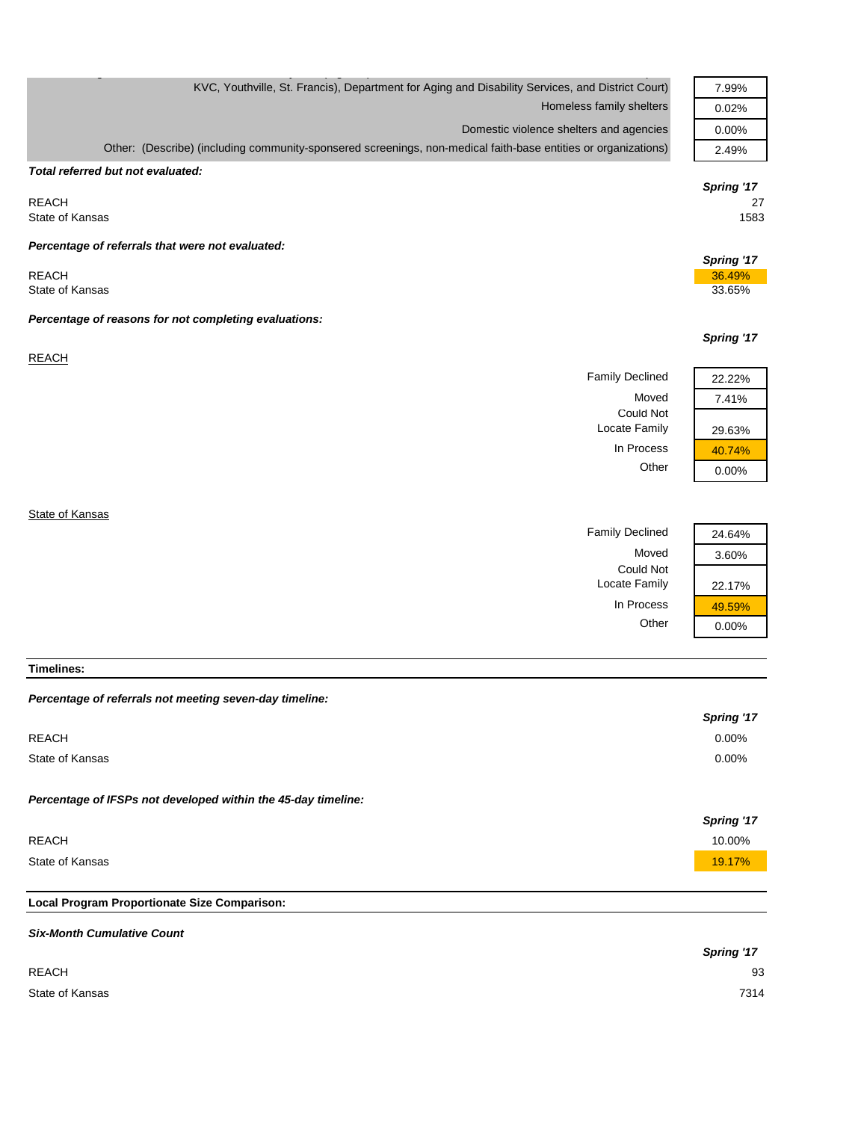| KVC, Youthville, St. Francis), Department for Aging and Disability Services, and District Court)               | 7.99%      |
|----------------------------------------------------------------------------------------------------------------|------------|
| Homeless family shelters                                                                                       | 0.02%      |
| Domestic violence shelters and agencies                                                                        | 0.00%      |
| Other: (Describe) (including community-sponsered screenings, non-medical faith-base entities or organizations) | 2.49%      |
| Total referred but not evaluated:                                                                              |            |
|                                                                                                                | Spring '17 |
| <b>REACH</b>                                                                                                   | 27         |
| State of Kansas                                                                                                | 1583       |
| Percentage of referrals that were not evaluated:                                                               |            |
|                                                                                                                | Spring '17 |
| <b>REACH</b>                                                                                                   | 36.49%     |
| State of Kansas                                                                                                | 33.65%     |
| Percentage of reasons for not completing evaluations:                                                          |            |
|                                                                                                                | Spring '17 |
| <b>REACH</b>                                                                                                   |            |
| <b>Family Declined</b>                                                                                         | 22.22%     |
| Moved                                                                                                          | 7.41%      |
| <b>Could Not</b>                                                                                               |            |
| Locate Family                                                                                                  | 29.63%     |
| In Process                                                                                                     | 40.74%     |
| Other                                                                                                          | 0.00%      |
|                                                                                                                |            |
| State of Kansas                                                                                                |            |
| <b>Family Declined</b>                                                                                         | 24.64%     |
| Moved                                                                                                          | 3.60%      |
| Could Not                                                                                                      |            |
| Locate Family                                                                                                  | 22.17%     |

**Timelines:**

| Percentage of referrals not meeting seven-day timeline:       |            |
|---------------------------------------------------------------|------------|
|                                                               | Spring '17 |
| <b>REACH</b>                                                  | $0.00\%$   |
| State of Kansas                                               | $0.00\%$   |
| Percentage of IFSPs not developed within the 45-day timeline: |            |
|                                                               | Spring '17 |
| <b>REACH</b>                                                  | 10.00%     |
| State of Kansas                                               | 19.17%     |
|                                                               |            |
| Local Program Proportionate Size Comparison:                  |            |
|                                                               |            |

In Process  $\frac{49.59\%}{0.00\%}$ 

 $0.00%$ 

|                 | <b>Spring '17</b> |
|-----------------|-------------------|
| <b>REACH</b>    | 93                |
| State of Kansas | 7314              |